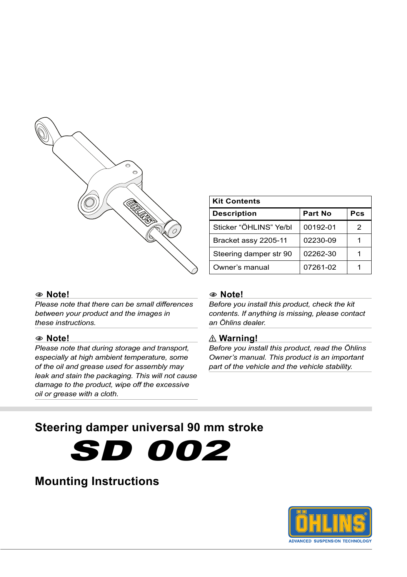

#### 1 **Note!**

*Please note that there can be small differences between your product and the images in these instructions.*

#### 1 **Note!**

*Please note that during storage and transport, especially at high ambient temperature, some of the oil and grease used for assembly may leak and stain the packaging. This will not cause damage to the product, wipe off the excessive oil or grease with a cloth.*

**Kit Contents**

1 **Note!**

*Before you install this product, check the kit contents. If anything is missing, please contact an Öhlins dealer.*

**Description Part No Pcs** Sticker "ÖHLINS" Ye/bl  $\vert$  00192-01  $\vert$  2 Bracket assy 2205-11 | 02230-09 | 1 Steering damper str 90  $\vert$  02262-30  $\vert$  1 Owner's manual  $\sqrt{07261-02}$  1

#### ⚠ **Warning!**

*Before you install this product, read the Öhlins Owner's manual. This product is an important part of the vehicle and the vehicle stability.*

### **Steering damper universal 90 mm stroke**

SD 002

### **Mounting Instructions**

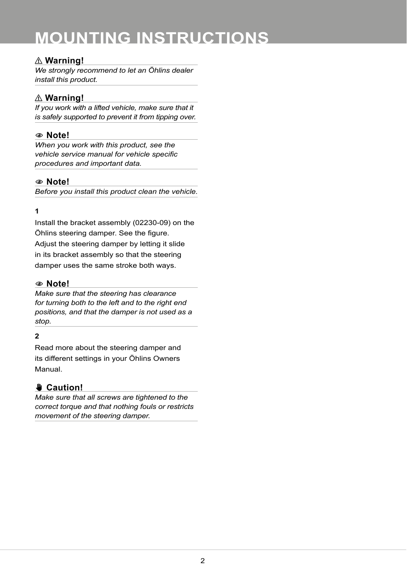# **MOUNTING INSTRUCTIONS**

#### ⚠ **Warning!**

*We strongly recommend to let an Öhlins dealer install this product.*

#### ⚠ **Warning!**

*If you work with a lifted vehicle, make sure that it is safely supported to prevent it from tipping over.*

#### 1 **Note!**

*When you work with this product, see the vehicle service manual for vehicle specific procedures and important data.*

#### 1 **Note!**

*Before you install this product clean the vehicle.*

#### **1**

Install the bracket assembly (02230-09) on the Öhlins steering damper. See the figure. Adjust the steering damper by letting it slide in its bracket assembly so that the steering damper uses the same stroke both ways.

#### 1 **Note!**

*Make sure that the steering has clearance for turning both to the left and to the right end positions, and that the damper is not used as a stop.*

#### **2**

Read more about the steering damper and its different settings in your Öhlins Owners Manual.

### ✋**✋ Caution!**

*Make sure that all screws are tightened to the correct torque and that nothing fouls or restricts movement of the steering damper.*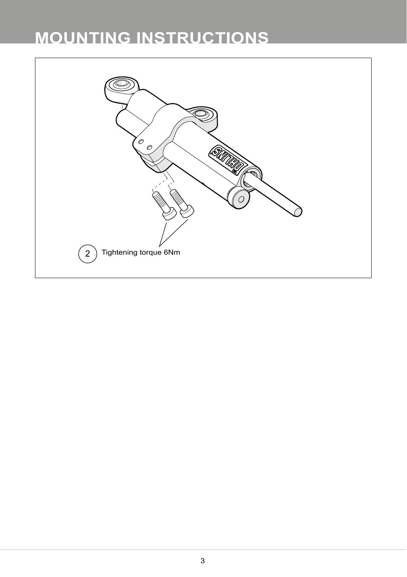# **MOUNTING INSTRUCTIONS**